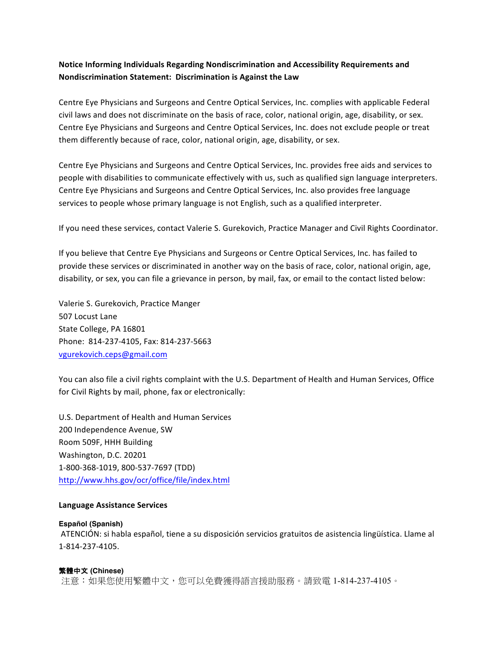# **Notice Informing Individuals Regarding Nondiscrimination and Accessibility Requirements and Nondiscrimination Statement: Discrimination is Against the Law**

Centre Eye Physicians and Surgeons and Centre Optical Services, Inc. complies with applicable Federal civil laws and does not discriminate on the basis of race, color, national origin, age, disability, or sex. Centre Eye Physicians and Surgeons and Centre Optical Services, Inc. does not exclude people or treat them differently because of race, color, national origin, age, disability, or sex.

Centre Eye Physicians and Surgeons and Centre Optical Services, Inc. provides free aids and services to people with disabilities to communicate effectively with us, such as qualified sign language interpreters. Centre Eye Physicians and Surgeons and Centre Optical Services, Inc. also provides free language services to people whose primary language is not English, such as a qualified interpreter.

If you need these services, contact Valerie S. Gurekovich, Practice Manager and Civil Rights Coordinator.

If you believe that Centre Eye Physicians and Surgeons or Centre Optical Services, Inc. has failed to provide these services or discriminated in another way on the basis of race, color, national origin, age, disability, or sex, you can file a grievance in person, by mail, fax, or email to the contact listed below:

Valerie S. Gurekovich, Practice Manger 507 Locust Lane State College, PA 16801 Phone: 814-237-4105, Fax: 814-237-5663 vgurekovich.ceps@gmail.com 

You can also file a civil rights complaint with the U.S. Department of Health and Human Services, Office for Civil Rights by mail, phone, fax or electronically:

U.S. Department of Health and Human Services 200 Independence Avenue, SW Room 509F, HHH Building Washington, D.C. 20201 1-800-368-1019, 800-537-7697 (TDD) http://www.hhs.gov/ocr/office/file/index.html

#### **Language Assistance Services**

#### **Español (Spanish)**

ATENCIÓN: si habla español, tiene a su disposición servicios gratuitos de asistencia lingüística. Llame al 1-814-237-4105.

#### 繁體中文 **(Chinese)**

注意:如果您使用繁體中文,您可以免費獲得語言援助服務。請致電 1-814-237-4105。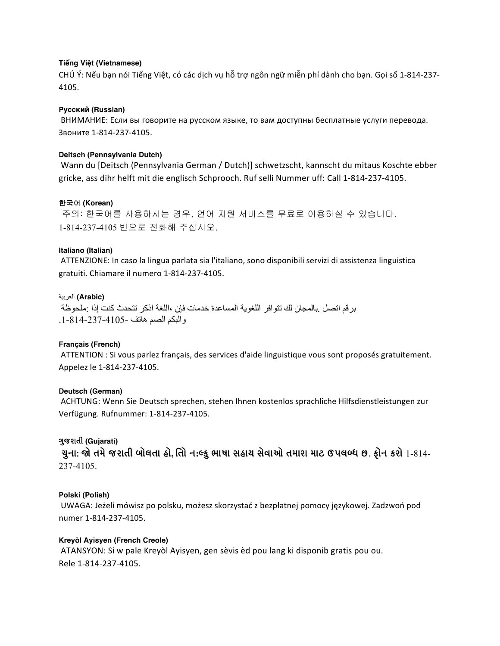# **Tiếng Việt (Vietnamese)**

CHÚ Ý: Nếu bạn nói Tiếng Việt, có các dịch vụ hỗ trợ ngôn ngữ miễn phí dành cho bạn. Gọi số 1-814-237-4105.

### **Русский (Russian)**

ВНИМАНИЕ: Если вы говорите на русском языке, то вам доступны бесплатные услуги перевода. Звоните 1-814-237-4105.

### **Deitsch (Pennsylvania Dutch)**

Wann du [Deitsch (Pennsylvania German / Dutch)] schwetzscht, kannscht du mitaus Koschte ebber gricke, ass dihr helft mit die englisch Schprooch. Ruf selli Nummer uff: Call 1-814-237-4105.

### 한국어 **(Korean)**

주의: 한국어를 사용하시는 경우, 언어 지원 서비스를 무료로 이용하실 수 있습니다. 1-814-237-4105 번으로 전화해 주십시오.

### **Italiano (Italian)**

ATTENZIONE: In caso la lingua parlata sia l'italiano, sono disponibili servizi di assistenza linguistica gratuiti. Chiamare il numero 1-814-237-4105.

### **(Arabic (**العربیة

برقم اتصل .بالمجان لك تتوافر اللغویة المساعدة خدمات فإن ،اللغة اذكر تتحدث كنت إذا :ملحوظة والبكم الصم ھاتف .1-814-237-4105-

# **Français (French)**

ATTENTION : Si vous parlez français, des services d'aide linguistique vous sont proposés gratuitement. Appelez le 1-814-237-4105.

# **Deutsch (German)**

ACHTUNG: Wenn Sie Deutsch sprechen, stehen Ihnen kostenlos sprachliche Hilfsdienstleistungen zur Verfügung. Rufnummer: 1-814-237-4105.

# **ગuજરાતી (Gujarati)**

ચુના: જો તમે જરાતી બોલતા હો, તોિ ન:લ્ફુ ભાષા સહાય સેવાઓ તમારા માટ ઉપલબ્ધ છ. ફોન કરો 1-814-237-4105.

# **Polski (Polish)**

UWAGA: Jeżeli mówisz po polsku, możesz skorzystać z bezpłatnej pomocy językowej. Zadzwoń pod numer 1-814-237-4105.

#### **Kreyòl Ayisyen (French Creole)**

ATANSYON: Si w pale Kreyòl Ayisyen, gen sèvis èd pou lang ki disponib gratis pou ou. Rele 1-814-237-4105.